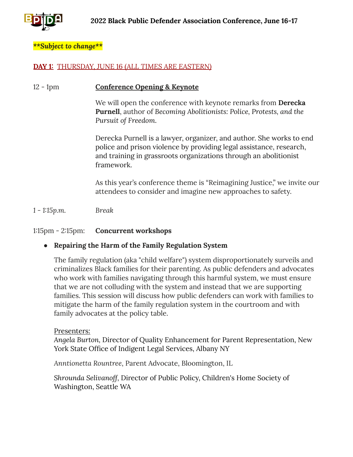

#### *\*\*Subject to change\*\**

#### **DAY 1:** THURSDAY, JUNE 16 (*ALL TIMES ARE EASTERN)*

#### 12 - 1pm **Conference Opening & Keynote**

We will open the conference with keynote remarks from **Derecka Purnell**, author of *Becoming Abolitionists: Police, Protests, and the Pursuit of Freedom*.

Derecka Purnell is a lawyer, organizer, and author. She works to end police and prison violence by providing legal assistance, research, and training in grassroots organizations through an abolitionist framework.

As this year's conference theme is "Reimagining Justice," we invite our attendees to consider and imagine new approaches to safety.

*1 - 1:15p.m. Break*

#### 1:15pm - 2:15pm: **Concurrent workshops**

#### ● **Repairing the Harm of the Family Regulation System**

The family regulation (aka "child welfare") system disproportionately surveils and criminalizes Black families for their parenting. As public defenders and advocates who work with families navigating through this harmful system, we must ensure that we are not colluding with the system and instead that we are supporting families. This session will discuss how public defenders can work with families to mitigate the harm of the family regulation system in the courtroom and with family advocates at the policy table.

#### Presenters:

*Angela Burton,* Director of Quality Enhancement for Parent Representation, New York State Office of Indigent Legal Services, Albany NY

*Anntionetta Rountree*, Parent Advocate, Bloomington, IL

*Shrounda Selivanoff,* Director of Public Policy, Children's Home Society of Washington, Seattle WA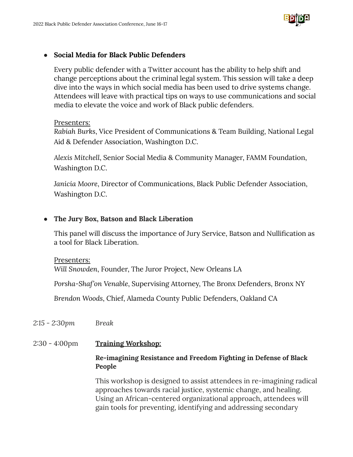

### ● **Social Media for Black Public Defenders**

Every public defender with a Twitter account has the ability to help shift and change perceptions about the criminal legal system. This session will take a deep dive into the ways in which social media has been used to drive systems change. Attendees will leave with practical tips on ways to use communications and social media to elevate the voice and work of Black public defenders.

### Presenters:

*Rabiah Burks*, Vice President of Communications & Team Building, National Legal Aid & Defender Association, Washington D.C.

*Alexis Mitchell*, Senior Social Media & Community Manager, FAMM Foundation, Washington D.C.

*Janicia Moore*, Director of Communications, Black Public Defender Association, Washington D.C.

## **● The Jury Box, Batson and Black Liberation**

This panel will discuss the importance of Jury Service, Batson and Nullification as a tool for Black Liberation.

#### Presenters:

*Will Snowden*, Founder, The Juror Project, New Orleans LA

*Porsha-Shaf'on Venable*, Supervising Attorney, The Bronx Defenders, Bronx NY

*Brendon Woods*, Chief, Alameda County Public Defenders, Oakland CA

- *2:15 - 2:30pm Break*
- 2:30 4:00pm **Training Workshop:**

### **Re-imagining Resistance and Freedom Fighting in Defense of Black People**

This workshop is designed to assist attendees in re-imagining radical approaches towards racial justice, systemic change, and healing. Using an African-centered organizational approach, attendees will gain tools for preventing, identifying and addressing secondary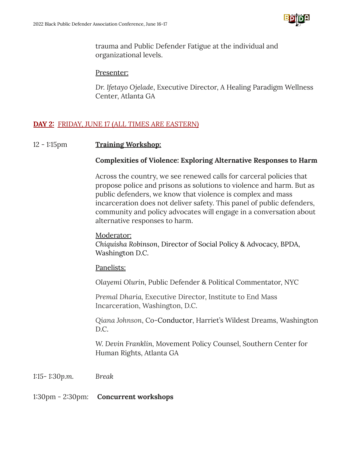

trauma and Public Defender Fatigue at the individual and organizational levels.

#### Presenter:

*Dr. Ifetayo Ojelade*, Executive Director, A Healing Paradigm Wellness Center, Atlanta GA

## **DAY 2:** FRIDAY, JUNE 17 (*ALL TIMES ARE EASTERN)*

### 12 - 1:15pm **Training Workshop:**

### **Complexities of Violence: Exploring Alternative Responses to Harm**

Across the country, we see renewed calls for carceral policies that propose police and prisons as solutions to violence and harm. But as public defenders, we know that violence is complex and mass incarceration does not deliver safety. This panel of public defenders, community and policy advocates will engage in a conversation about alternative responses to harm.

#### Moderator:

*Chiquisha Robinson*, Director of Social Policy & Advocacy, BPDA, Washington D.C.

#### Panelists:

*Olayemi Olurin,* Public Defender & Political Commentator, NYC

*Premal Dharia,* Executive Director, Institute to End Mass Incarceration, Washington, D.C.

*Qiana Johnson*, Co-Conductor, Harriet's Wildest Dreams, Washington D.C.

*W. Devin Franklin,* Movement Policy Counsel, Southern Center for Human Rights, Atlanta GA

*1:15- 1:30p.m. Break*

#### 1:30pm - 2:30pm: **Concurrent workshops**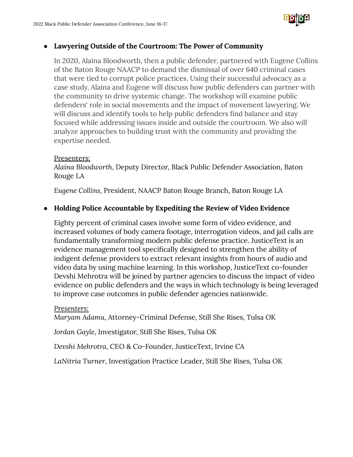

### **● Lawyering Outside of the Courtroom: The Power of Community**

In 2020, Alaina Bloodworth, then a public defender, partnered with Eugene Collins of the Baton Rouge NAACP to demand the dismissal of over 640 criminal cases that were tied to corrupt police practices. Using their successful advocacy as a case study, Alaina and Eugene will discuss how public defenders can partner with the community to drive systemic change. The workshop will examine public defenders' role in social movements and the impact of movement lawyering. We will discuss and identify tools to help public defenders find balance and stay focused while addressing issues inside and outside the courtroom. We also will analyze approaches to building trust with the community and providing the expertise needed.

### Presenters:

*Alaina Bloodworth*, Deputy Director, Black Public Defender Association, Baton Rouge LA

*Eugene Collins,* President, NAACP Baton Rouge Branch, Baton Rouge LA

# **● Holding Police Accountable by Expediting the Review of Video Evidence**

Eighty percent of criminal cases involve some form of video evidence, and increased volumes of body camera footage, interrogation videos, and jail calls are fundamentally transforming modern public defense practice. JusticeText is an evidence management tool specifically designed to strengthen the ability of indigent defense providers to extract relevant insights from hours of audio and video data by using machine learning. In this workshop, JusticeText co-founder Devshi Mehrotra will be joined by partner agencies to discuss the impact of video evidence on public defenders and the ways in which technology is being leveraged to improve case outcomes in public defender agencies nationwide.

#### *Presenters:*

*Maryam Adamu*, Attorney-Criminal Defense, Still She Rises, Tulsa OK

*Jordan Gayle*, Investigator, Still She Rises, Tulsa OK

*Devshi Mehrotra,* CEO & Co-Founder, JusticeText, Irvine CA

*LaNitria Turner*, Investigation Practice Leader, Still She Rises, Tulsa OK